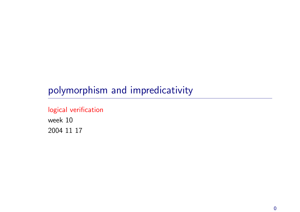# polymorphism and impredicativity

### logical verification

week 10 2004 11 17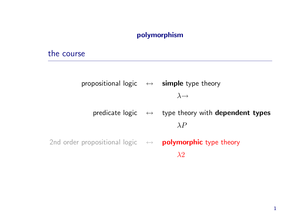#### polymorphism

#### the course

propositional logic  $\leftrightarrow$  simple type theory  $\lambda \rightarrow$ predicate logic  $\leftrightarrow$  type theory with dependent types  $\lambda P$ 2nd order propositional logic  $\leftrightarrow$  polymorphic type theory  $\lambda$ <sup>2</sup>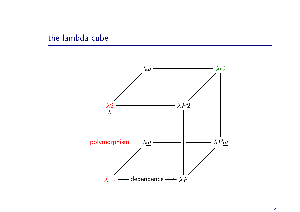### the lambda cube

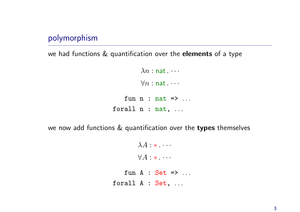### polymorphism

we had functions & quantification over the elements of a type

```
\lambda n : nat. \cdots\forall n : \textsf{nat}\dotsfun n : nat \Rightarrow ...forall n : nat, ...
```
we now add functions & quantification over the types themselves

```
\lambda A : * \ldots\forall A: * . . . .fun A : Set \Rightarrow ...forall A : Set, ...
```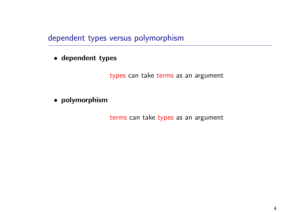dependent types versus polymorphism

#### • dependent types

types can take terms as an argument

#### • polymorphism

terms can take types as an argument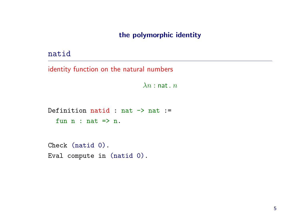#### the polymorphic identity

#### natid

identity function on the natural numbers

 $\lambda n$  : nat.  $n$ 

Definition natid : nat  $\rightarrow$  nat := fun  $n : nat \Rightarrow n$ .

Check (natid 0). Eval compute in (natid 0).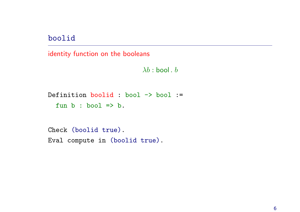boolid

identity function on the booleans

 $\lambda b$  : bool .  $b$ 

```
Definition boolid : bool -> bool :=
  fun b : bool \implies b.
```
Check (boolid true). Eval compute in (boolid true).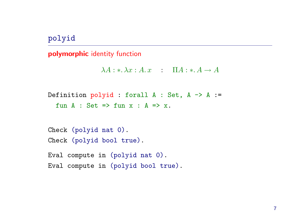### polyid

#### polymorphic identity function

```
\lambda A : * \lambda x : A \cdot x : \Pi A : * A \rightarrow A
```

```
Definition polyid : forall A : Set, A -> A :=
  fun A : Set => fun x : A => x.
```

```
Check (polyid nat 0).
Check (polyid bool true).
```
Eval compute in (polyid nat 0). Eval compute in (polyid bool true).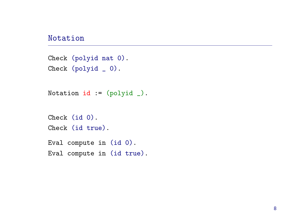#### Notation

```
Check (polyid nat 0).
Check (polyid
_ 0).
```

```
Notation id := (polyid).
```

```
Check (id 0).
Check (id true).
```

```
Eval compute in (id 0).
Eval compute in (id true).
```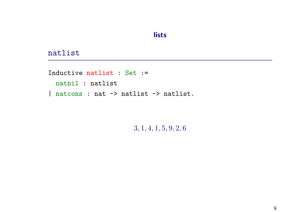#### lists

#### natlist

Inductive natlist : Set := natnil : natlist | natcons : nat -> natlist -> natlist.

3, 1, 4, 1, 5, 9, 2, 6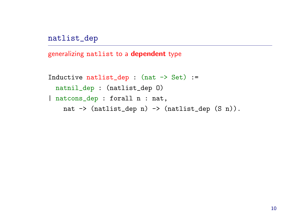natlist\_dep

generalizing natlist to <sup>a</sup> dependent type

```
Inductive natlist_dep : (nat -> Set) :=natnil_dep : (natlist_dep O)
| natcons_dep : forall n : nat,
   nat -> (natlist_dep n) -> (natlist_dep (S n)).
```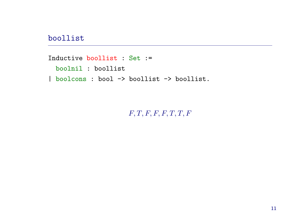#### boollist

Inductive boollist : Set := boolnil : boollist | boolcons : bool -> boollist -> boollist.

## $F, T, F, F, F, T, T, F$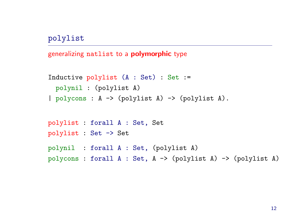polylist

generalizing natlist to <sup>a</sup> polymorphic type

```
Inductive polylist (A : Set) : Set :=
 polynil : (polylist A)
| polycons : A -> (polylist A) -> (polylist A).
polylist : forall A : Set, Set
polylist : Set -> Set
polynil : forall A : Set, (polylist A)
polycons : forall A : Set, A -> (polylist A) -> (polylist A)
```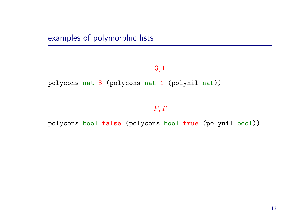examples of polymorphic lists

#### 3, 1

polycons nat <sup>3</sup> (polycons nat <sup>1</sup> (polynil nat))

 $F, T$ 

polycons bool false (polycons bool true (polynil bool))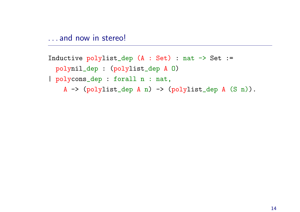. . . and now in stereo!

```
Inductive polylist_dep (A : Set) : nat -> Set :=
  polynil_dep : (polylist_dep A O)
| polycons_dep : forall n : nat,
    A \rightarrow (polylist_dep A n) \rightarrow (polylist_dep A (S n)).
```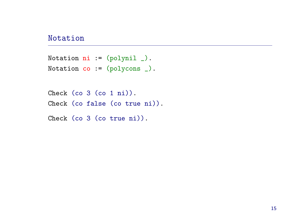#### Notation

```
Notation ni := (polynil).
Notation co := (polycons).
```

```
Check (co 3 (co 1 ni)).
Check (co false (co true ni)).
```

```
Check (co 3 (co true ni)).
```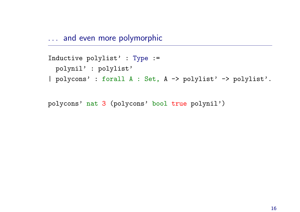... and even more polymorphic

```
Inductive polylist' : Type :=
 polynil' : polylist'
| polycons' : forall A : Set, A -> polylist' -> polylist'.
```
polycons' nat <sup>3</sup> (polycons' bool true polynil')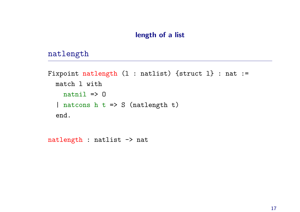#### length of <sup>a</sup> list

#### natlength

```
Fixpoint natlength (l : natlist) {struct l} : nat :=
  match l with
    natural \Rightarrow 0| natcons h t => S (natlength t)
  end.
```
natlength : natlist -> nat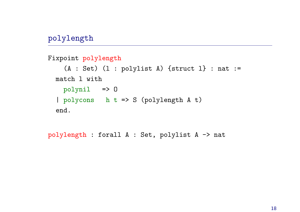### polylength

```
Fixpoint polylength
    (A : Set) (1 : polylist A) {struct 1} : nat :=
 match l with
   polynil => O
  | polycons h t => S (polylength A t)
 end.
```
polylength : forall A : Set, polylist A -> nat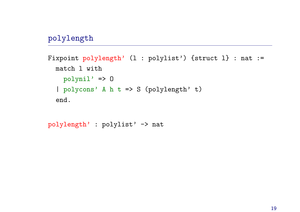### polylength

```
Fixpoint polylength' (l : polylist') {struct l} : nat :=
 match l with
   polynil' => O
  | polycons' A h t => S (polylength' t)
  end.
```
polylength' : polylist' -> nat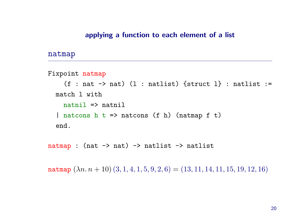#### applying <sup>a</sup> function to each element of <sup>a</sup> list

#### natmap

```
Fixpoint natmap
    (f : nat \rightarrow nat) (1 : natlist) {struct 1} : natlist :=
  match l with
    natural \Rightarrow natnil
  | natcons h t => natcons (f h) (natmap f t)
  end.
```
natmap : (nat  $\rightarrow$  nat)  $\rightarrow$  natlist  $\rightarrow$  natlist

natmap  $(\lambda n. n + 10)$   $(3, 1, 4, 1, 5, 9, 2, 6) = (13, 11, 14, 11, 15, 19, 12, 16)$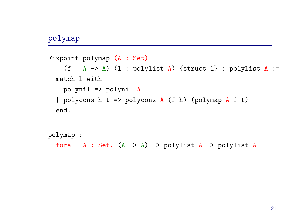### polymap

```
Fixpoint polymap (A : Set)
    (f : A \rightarrow A) (l : polylist A) {struct 1} : polylist A :=
  match l with
    polynil => polynil A
  | polycons h t => polycons A (f h) (polymap A f t)
  end.
```

```
polymap :
  forall A : Set, (A \rightarrow A) \rightarrow polylist A \rightarrow polylist A
```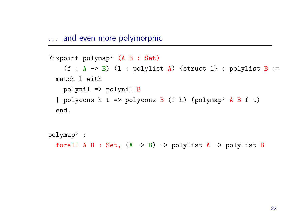. . . and even more polymorphic

```
Fixpoint polymap' (A B : Set)
    (f : A \rightarrow B) (l : polylist A) {struct 1} : polylist B :=
  match l with
    polynil => polynil B
  | polycons h t => polycons B (f h) (polymap' A B f t)
  end.
```

```
polymap' :
  forall A B : Set, (A \rightarrow B) \rightarrow polylist A \rightarrow polylist B
```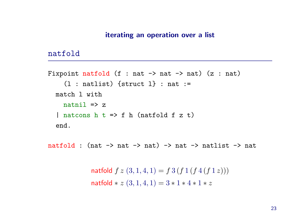#### natfold

```
Fixpoint natfold (f : nat \rightarrow nat \rightarrow nat) (z : nat)
     (1 : \text{natural}) {struct 1} : nat :=
  match l with
     natural \Rightarrow z| natcons h t \Rightarrow f h (natfold f z t)
  end.
```
natfold : (nat  $\rightarrow$  nat  $\rightarrow$  nat)  $\rightarrow$  nat  $\rightarrow$  natlist  $\rightarrow$  nat

natfold  $f z (3, 1, 4, 1) = f 3 (f 1 (f 4 (f 1 z)))$ natfold  $* z (3, 1, 4, 1) = 3 * 1 * 4 * 1 * z$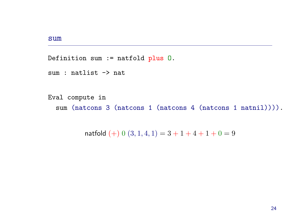#### sum

Definition sum := natfold plus O.

```
sum : natlist -> nat
```

```
Eval compute in
  sum (natcons 3 (natcons 1 (natcons 4 (natcons 1 natnil)))).
```
natfold  $(+) 0 (3, 1, 4, 1) = 3 + 1 + 4 + 1 + 0 = 9$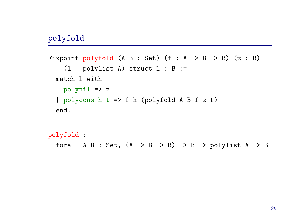### polyfold

```
Fixpoint polyfold (A B : Set) (f : A \rightarrow B \rightarrow B) (z : B)
    (l : polylist A) struct l : B :=
  match l with
    polynil => z
  | polycons h t => f h (polyfold A B f z t)
  end.
```

```
polyfold :
   forall A B : Set, (A \rightarrow B \rightarrow B) \rightarrow B \rightarrow polylist A \rightarrow B
```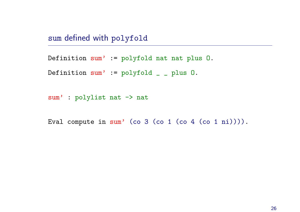sum defined with polyfold

Definition sum' := polyfold nat nat plus O.

Definition sum' := polyfold \_ \_ plus O.

sum' : polylist nat -> nat

Eval compute in sum' (co <sup>3</sup> (co <sup>1</sup> (co <sup>4</sup> (co <sup>1</sup> ni)))).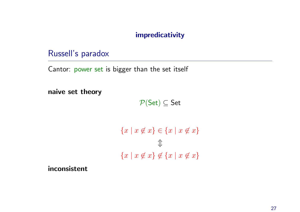#### impredicativity

### Russell's paradox

Cantor: power set is bigger than the set itself

naive set theory

 $\mathcal{P}(\mathsf{Set}) \subseteq \mathsf{Set}$ 

$$
\{x \mid x \notin x\} \in \{x \mid x \notin x\}
$$

$$
\Downarrow
$$

$$
\{x \mid x \notin x\} \notin \{x \mid x \notin x\}
$$

inconsistent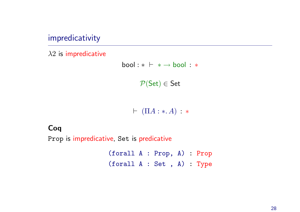impredicativity

 $\lambda$ 2 is impredicative

 $bool : * \vdash * \rightarrow bool : *$  $\mathcal{P}(\mathsf{Set}) \in \mathsf{Set}$ 

 $\vdash (\Pi A : * A) : *$ 

### Coq

Prop is impredicative, Set is predicative

(forall <sup>A</sup> : Prop, A) : Prop (forall <sup>A</sup> : Set , A) : Type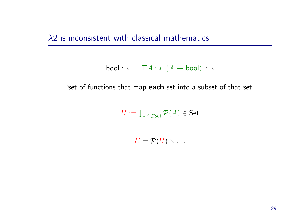$\lambda$ 2 is inconsistent with classical mathematics

$$
\mathsf{bool}: * \;\vdash\; \Pi A: *.(A \to \mathsf{bool}): *
$$

'set of functions that map each set into <sup>a</sup> subset of that set'

 $U := \prod_{A \in \mathsf{Set}} \mathcal{P}(A) \in \mathsf{Set}$ 

 $U = \mathcal{P}(U) \times \ldots$